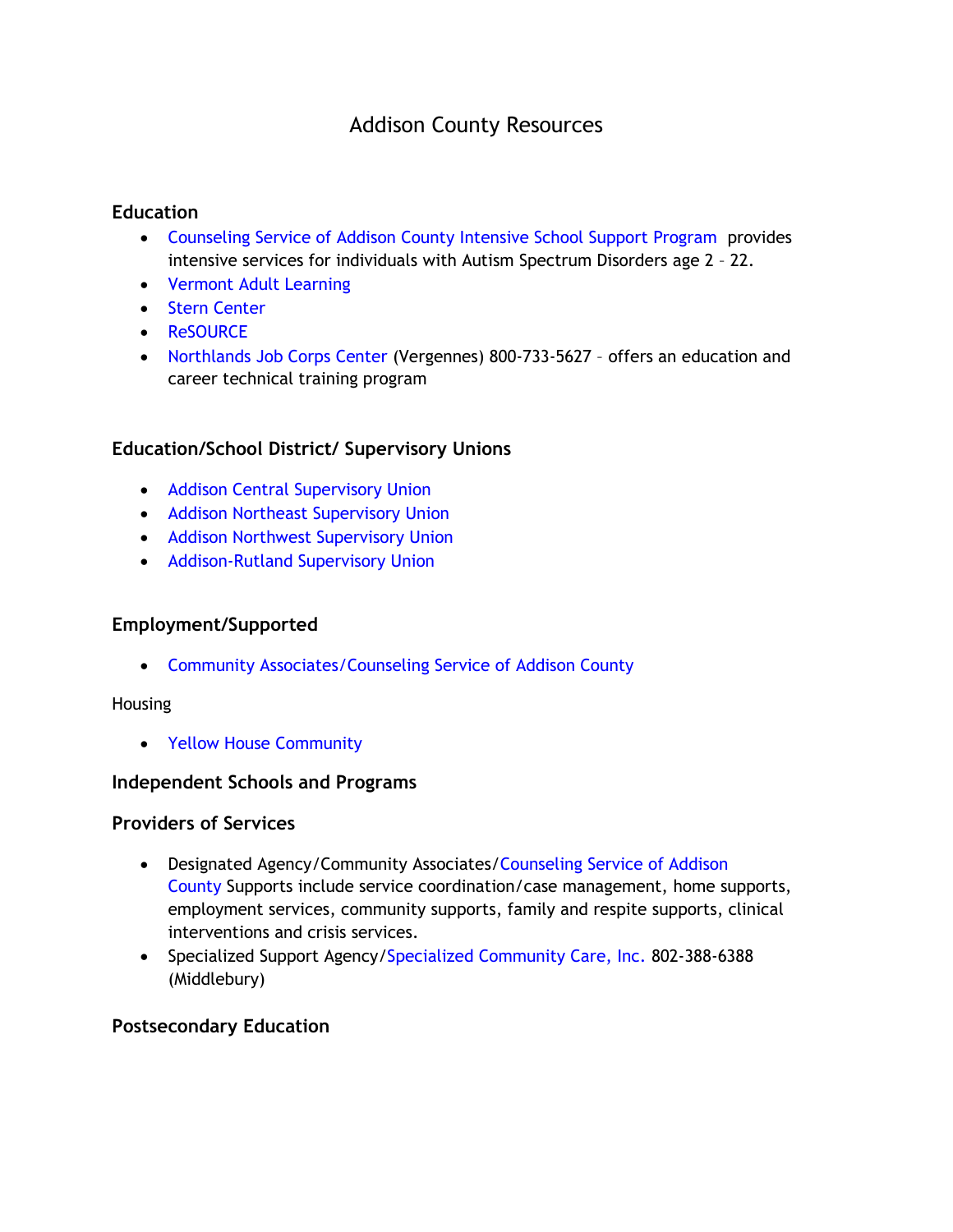# Addison County Resources

# **Education**

- [Counseling Service of Addison County Intensive School Support Program](http://www.csac-vt.org/what_we_do/youth-and-family-programs.html) provides intensive services for individuals with Autism Spectrum Disorders age 2 – 22.
- [Vermont Adult Learning](http://www.vtadultlearning.org/chittenden-county/)
- [Stern Center](http://www.sterncenter.org/)
- [ReSOURCE](https://resourcevt.org/)
- [Northlands Job Corps Center](https://northlands.jobcorps.gov/) (Vergennes) 800-733-5627 offers an education and career technical training program

## **Education/School District/ Supervisory Unions**

- [Addison Central Supervisory Union](https://www.acsdvt.org/)
- [Addison Northeast Supervisory Union](http://www.anesu.org/)
- [Addison Northwest Supervisory Union](https://www.anwsd.org/)
- [Addison-Rutland Supervisory Union](http://www.arsu.org/)

#### **Employment/Supported**

• [Community Associates/Counseling Service of Addison County](http://www.csac-vt.org/what_we_do/employment-services.html)

#### Housing

• [Yellow House Community](https://yellowhousecommunity.com/)

#### **Independent Schools and Programs**

## **Providers of Services**

- Designated Agency/Community Associates[/Counseling Service of Addison](https://www.csac-vt.org/) [County](https://www.csac-vt.org/) Supports include service coordination/case management, home supports, employment services, community supports, family and respite supports, clinical interventions and crisis services.
- Specialized Support Agency[/Specialized Community Care, Inc.](http://sccvt.org/) 802-388-6388 (Middlebury)

#### **Postsecondary Education**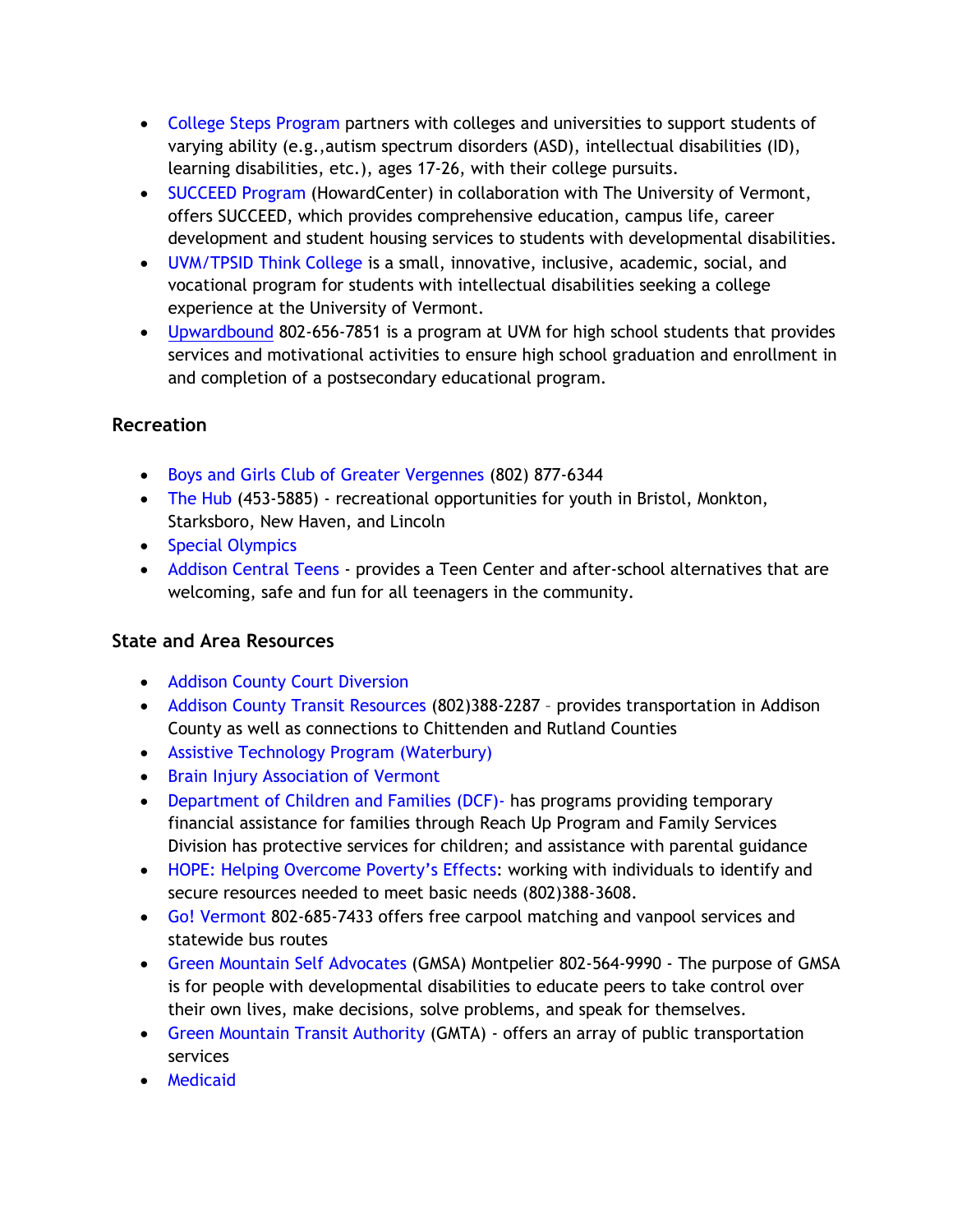- [College Steps Program](https://www.collegesteps.org/) partners with colleges and universities to support students of varying ability (e.g.,autism spectrum disorders (ASD), intellectual disabilities (ID), learning disabilities, etc.), ages 17-26, with their college pursuits.
- [SUCCEED Program](http://www.howardcenter.org/SUCCEED) (HowardCenter) in collaboration with The University of Vermont, offers SUCCEED, which provides comprehensive education, campus life, career development and student housing services to students with developmental disabilities.
- [UVM/TPSID Think College](http://www.uvm.edu/~cdci/thinkcollege/) is a small, innovative, inclusive, academic, social, and vocational program for students with intellectual disabilities seeking a college experience at the University of Vermont.
- [Upwardbound](https://www.uvm.edu/academicsuccess/upward_bound) 802-656-7851 is a program at UVM for high school students that provides services and motivational activities to ensure high school graduation and enrollment in and completion of a postsecondary educational program.

# **Recreation**

- [Boys and Girls Club of Greater Vergennes](https://bgcvergennes.org/) (802) 877-6344
- [The Hub](http://bristolskatepark.com/) (453-5885) recreational opportunities for youth in Bristol, Monkton, Starksboro, New Haven, and Lincoln
- [Special Olympics](https://specialolympicsvermont.org/)
- [Addison Central Teens](https://middteens.org/) provides a Teen Center and after-school alternatives that are welcoming, safe and fun for all teenagers in the community.

# **State and Area Resources**

- [Addison County Court Diversion](http://www.acrjs.org/)
- [Addison County Transit Resources](http://actr-vt.org/) (802)388-2287 provides transportation in Addison County as well as connections to Chittenden and Rutland Counties
- [Assistive Technology Program \(Waterbury\)](http://atp.vermont.gov/)
- [Brain Injury Association of Vermont](http://www.biavt.org/)
- [Department of Children and Families \(DCF\)-](http://dcf.vermont.gov/divisions) has programs providing temporary financial assistance for families through Reach Up Program and Family Services Division has protective services for children; and assistance with parental guidance
- [HOPE: Helping Overcome Poverty's Effects](http://www.hope-vt.org/): working with individuals to identify and secure resources needed to meet basic needs (802)388-3608.
- [Go! Vermont](https://www.connectingcommuters.org/) 802-685-7433 offers free carpool matching and vanpool services and statewide bus routes
- [Green Mountain Self Advocates](http://www.gmsavt.org/) (GMSA) Montpelier 802-564-9990 The purpose of GMSA is for people with developmental disabilities to educate peers to take control over their own lives, make decisions, solve problems, and speak for themselves.
- [Green Mountain Transit Authority](http://ridegmt.com/) (GMTA) offers an array of public transportation services
- [Medicaid](http://info.healthconnect.vermont.gov/Medicaid)